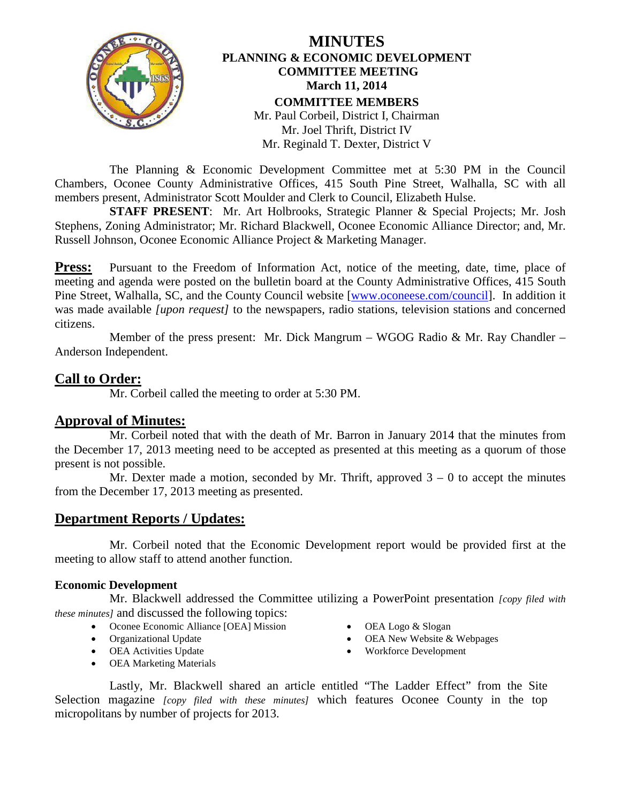

## **MINUTES PLANNING & ECONOMIC DEVELOPMENT COMMITTEE MEETING March 11, 2014 COMMITTEE MEMBERS** Mr. Paul Corbeil, District I, Chairman Mr. Joel Thrift, District IV Mr. Reginald T. Dexter, District V

The Planning & Economic Development Committee met at 5:30 PM in the Council Chambers, Oconee County Administrative Offices, 415 South Pine Street, Walhalla, SC with all members present, Administrator Scott Moulder and Clerk to Council, Elizabeth Hulse.

**STAFF PRESENT**: Mr. Art Holbrooks, Strategic Planner & Special Projects; Mr. Josh Stephens, Zoning Administrator; Mr. Richard Blackwell, Oconee Economic Alliance Director; and, Mr. Russell Johnson, Oconee Economic Alliance Project & Marketing Manager.

**Press:** Pursuant to the Freedom of Information Act, notice of the meeting, date, time, place of meeting and agenda were posted on the bulletin board at the County Administrative Offices, 415 South Pine Street, Walhalla, SC, and the County Council website [\[www.oconeese.com/council\]](http://www.oconeese.com/council). In addition it was made available *[upon request]* to the newspapers, radio stations, television stations and concerned citizens.

Member of the press present: Mr. Dick Mangrum – WGOG Radio & Mr. Ray Chandler – Anderson Independent.

**Call to Order:** Mr. Corbeil called the meeting to order at 5:30 PM.

# **Approval of Minutes:**

Mr. Corbeil noted that with the death of Mr. Barron in January 2014 that the minutes from the December 17, 2013 meeting need to be accepted as presented at this meeting as a quorum of those present is not possible.

Mr. Dexter made a motion, seconded by Mr. Thrift, approved  $3 - 0$  to accept the minutes from the December 17, 2013 meeting as presented.

# **Department Reports / Updates:**

Mr. Corbeil noted that the Economic Development report would be provided first at the meeting to allow staff to attend another function.

## **Economic Development**

Mr. Blackwell addressed the Committee utilizing a PowerPoint presentation *[copy filed with these minutes]* and discussed the following topics:

- Oconee Economic Alliance [OEA] Mission
- Organizational Update
- OEA Activities Update
- OEA Marketing Materials
- OEA Logo & Slogan
- OEA New Website & Webpages
- Workforce Development

Lastly, Mr. Blackwell shared an article entitled "The Ladder Effect" from the Site Selection magazine *[copy filed with these minutes]* which features Oconee County in the top micropolitans by number of projects for 2013.